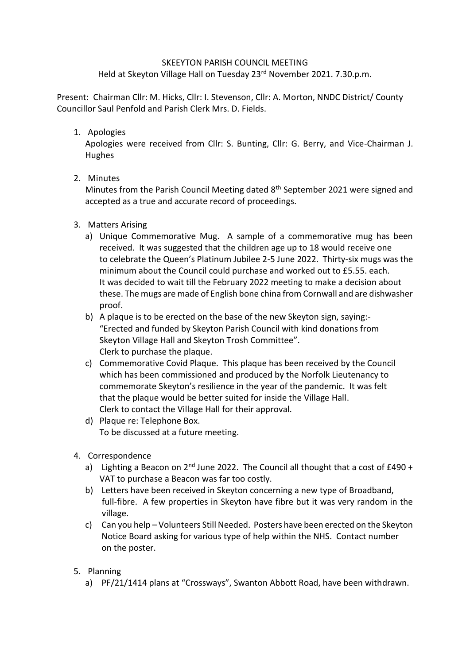## SKEEYTON PARISH COUNCIL MEETING

Held at Skeyton Village Hall on Tuesday 23<sup>rd</sup> November 2021. 7.30.p.m.

Present: Chairman Cllr: M. Hicks, Cllr: I. Stevenson, Cllr: A. Morton, NNDC District/ County Councillor Saul Penfold and Parish Clerk Mrs. D. Fields.

## 1. Apologies

Apologies were received from Cllr: S. Bunting, Cllr: G. Berry, and Vice-Chairman J. Hughes

## 2. Minutes

Minutes from the Parish Council Meeting dated 8th September 2021 were signed and accepted as a true and accurate record of proceedings.

- 3. Matters Arising
	- a) Unique Commemorative Mug. A sample of a commemorative mug has been received. It was suggested that the children age up to 18 would receive one to celebrate the Queen's Platinum Jubilee 2-5 June 2022. Thirty-six mugs was the minimum about the Council could purchase and worked out to £5.55. each. It was decided to wait till the February 2022 meeting to make a decision about these. The mugs are made of English bone china from Cornwall and are dishwasher proof.
	- b) A plaque is to be erected on the base of the new Skeyton sign, saying:- "Erected and funded by Skeyton Parish Council with kind donations from Skeyton Village Hall and Skeyton Trosh Committee". Clerk to purchase the plaque.
	- c) Commemorative Covid Plaque. This plaque has been received by the Council which has been commissioned and produced by the Norfolk Lieutenancy to commemorate Skeyton's resilience in the year of the pandemic. It was felt that the plaque would be better suited for inside the Village Hall. Clerk to contact the Village Hall for their approval.
	- d) Plaque re: Telephone Box. To be discussed at a future meeting.
- 4. Correspondence
	- a) Lighting a Beacon on  $2^{nd}$  June 2022. The Council all thought that a cost of  $£490 +$ VAT to purchase a Beacon was far too costly.
	- b) Letters have been received in Skeyton concerning a new type of Broadband, full-fibre. A few properties in Skeyton have fibre but it was very random in the village.
	- c) Can you help Volunteers Still Needed. Posters have been erected on the Skeyton Notice Board asking for various type of help within the NHS. Contact number on the poster.
- 5. Planning
	- a) PF/21/1414 plans at "Crossways", Swanton Abbott Road, have been withdrawn.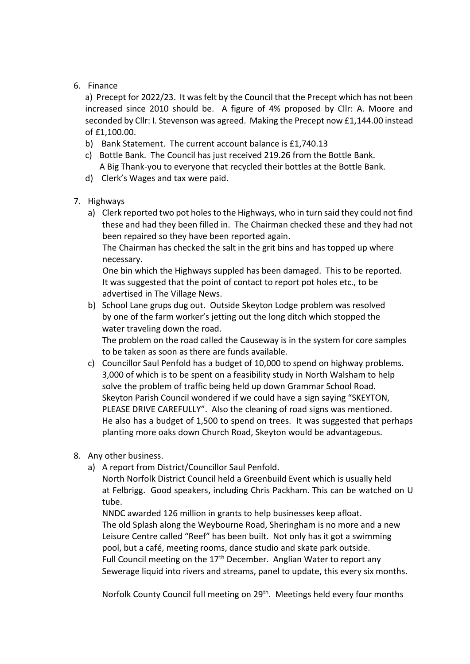## 6. Finance

a) Precept for 2022/23. It was felt by the Council that the Precept which has not been increased since 2010 should be. A figure of 4% proposed by Cllr: A. Moore and seconded by Cllr: I. Stevenson was agreed. Making the Precept now £1,144.00 instead of £1,100.00.

- b) Bank Statement. The current account balance is £1,740.13
- c) Bottle Bank. The Council has just received 219.26 from the Bottle Bank. A Big Thank-you to everyone that recycled their bottles at the Bottle Bank.
- d) Clerk's Wages and tax were paid.
- 7. Highways
	- a) Clerk reported two pot holes to the Highways, who in turn said they could not find these and had they been filled in. The Chairman checked these and they had not been repaired so they have been reported again.

 The Chairman has checked the salt in the grit bins and has topped up where necessary.

 One bin which the Highways suppled has been damaged. This to be reported. It was suggested that the point of contact to report pot holes etc., to be advertised in The Village News.

- b) School Lane grups dug out. Outside Skeyton Lodge problem was resolved by one of the farm worker's jetting out the long ditch which stopped the water traveling down the road. The problem on the road called the Causeway is in the system for core samples to be taken as soon as there are funds available.
- c) Councillor Saul Penfold has a budget of 10,000 to spend on highway problems. 3,000 of which is to be spent on a feasibility study in North Walsham to help solve the problem of traffic being held up down Grammar School Road. Skeyton Parish Council wondered if we could have a sign saying "SKEYTON, PLEASE DRIVE CAREFULLY". Also the cleaning of road signs was mentioned. He also has a budget of 1,500 to spend on trees. It was suggested that perhaps planting more oaks down Church Road, Skeyton would be advantageous.
- 8. Any other business.
	- a) A report from District/Councillor Saul Penfold.

North Norfolk District Council held a Greenbuild Event which is usually held at Felbrigg. Good speakers, including Chris Packham. This can be watched on U tube.

NNDC awarded 126 million in grants to help businesses keep afloat. The old Splash along the Weybourne Road, Sheringham is no more and a new Leisure Centre called "Reef" has been built. Not only has it got a swimming pool, but a café, meeting rooms, dance studio and skate park outside. Full Council meeting on the  $17<sup>th</sup>$  December. Anglian Water to report any Sewerage liquid into rivers and streams, panel to update, this every six months.

Norfolk County Council full meeting on 29<sup>th</sup>. Meetings held every four months